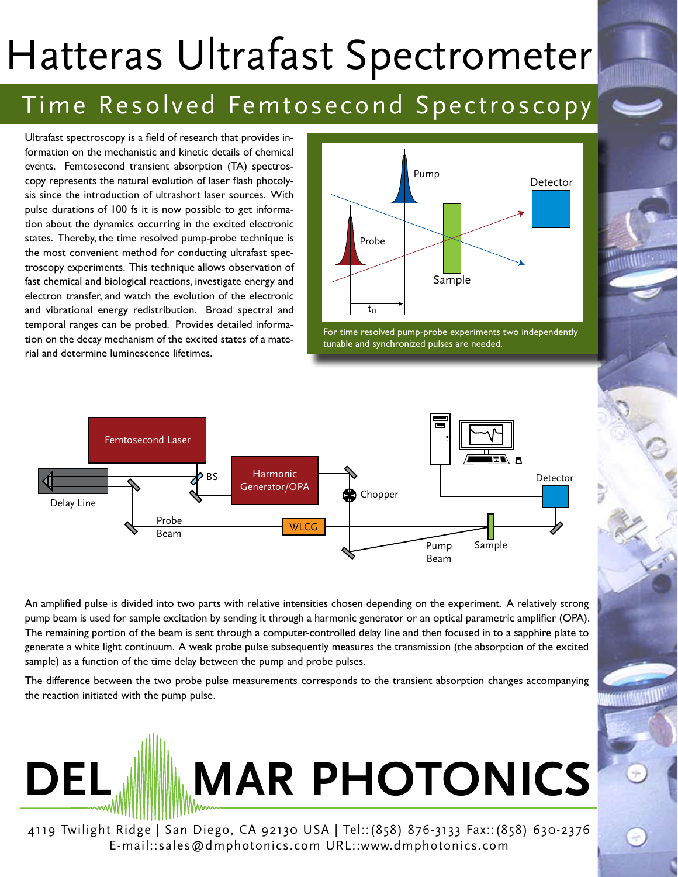## Hatteras Ultrafast Spectrometer

## Time Resolved Femtosecond Spectroscopy

Ultrafast spectroscopy is a field of research that provides information on the mechanistic and kinetic details of chemical events. Femtosecond transient absorption (TA) spectroscopy represents the natural evolution of laser flash photolysis since the introduction of ultrashort laser sources. With pulse durations of 100 fs it is now possible to get information about the dynamics occurring in the excited electronic states. Thereby, the time resolved pump-probe technique is the most convenient method for conducting ultrafast spectroscopy experiments. This technique allows observation of fast chemical and biological reactions, investigate energy and electron transfer, and watch the evolution of the electronic and vibrational energy redistribution. Broad spectral and temporal ranges can be probed. Provides detailed information on the decay mechanism of the excited states of a material and determine luminescence lifetimes.



For time resolved pump-probe experiments two independently tunable and synchronized pulses are needed.



An amplified pulse is divided into two parts with relative intensities chosen depending on the experiment. A relatively strong pump beam is used for sample excitation by sending it through a harmonic generator or an optical parametric amplifier (OPA). The remaining portion of the beam is sent through a computer-controlled delay line and then focused in to a sapphire plate to generate a white light continuum. A weak probe pulse subsequently measures the transmission (the absorption of the excited sample) as a function of the time delay between the pump and probe pulses.

The difference between the two probe pulse measurements corresponds to the transient absorption changes accompanying the reaction initiated with the pump pulse.



4119 Twilight Ridge | San Diego, CA 92130 USA | Tel::(858) 876-3133 Fax::(858) 630-2376 E-mail::sales@dmphotonics.com URL::www.dmphotonics.com